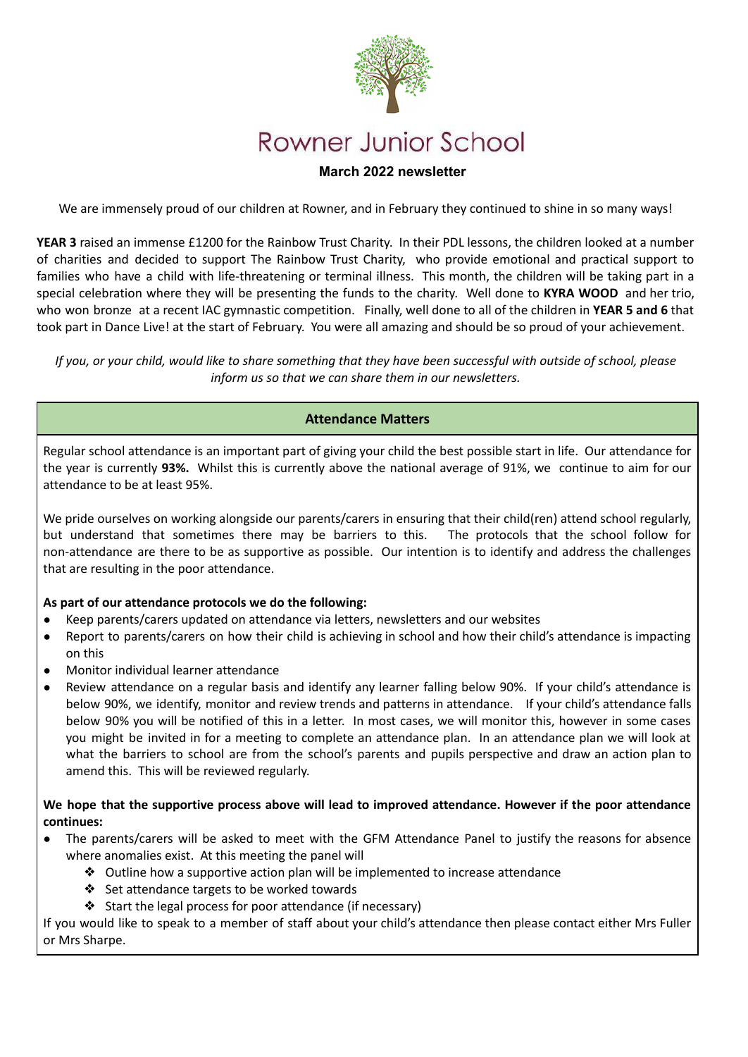

# **March 2022 newsletter**

We are immensely proud of our children at Rowner, and in February they continued to shine in so many ways!

**YEAR 3** raised an immense £1200 for the Rainbow Trust Charity. In their PDL lessons, the children looked at a number of charities and decided to support The Rainbow Trust Charity, who provide emotional and practical support to families who have a child with life-threatening or terminal illness. This month, the children will be taking part in a special celebration where they will be presenting the funds to the charity. Well done to **KYRA WOOD** and her trio, who won bronze at a recent IAC gymnastic competition. Finally, well done to all of the children in **YEAR 5 and 6** that took part in Dance Live! at the start of February. You were all amazing and should be so proud of your achievement.

If you, or your child, would like to share something that they have been successful with outside of school, please *inform us so that we can share them in our newsletters.*

# **Attendance Matters**

Regular school attendance is an important part of giving your child the best possible start in life. Our attendance for the year is currently **93%.** Whilst this is currently above the national average of 91%, we continue to aim for our attendance to be at least 95%.

We pride ourselves on working alongside our parents/carers in ensuring that their child(ren) attend school regularly, but understand that sometimes there may be barriers to this. The protocols that the school follow for non-attendance are there to be as supportive as possible. Our intention is to identify and address the challenges that are resulting in the poor attendance.

### **As part of our attendance protocols we do the following:**

- Keep parents/carers updated on attendance via letters, newsletters and our websites
- Report to parents/carers on how their child is achieving in school and how their child's attendance is impacting on this
- Monitor individual learner attendance
- Review attendance on a regular basis and identify any learner falling below 90%. If your child's attendance is below 90%, we identify, monitor and review trends and patterns in attendance. If your child's attendance falls below 90% you will be notified of this in a letter. In most cases, we will monitor this, however in some cases you might be invited in for a meeting to complete an attendance plan. In an attendance plan we will look at what the barriers to school are from the school's parents and pupils perspective and draw an action plan to amend this. This will be reviewed regularly.

We hope that the supportive process above will lead to improved attendance. However if the poor attendance **continues:**

- The parents/carers will be asked to meet with the GFM Attendance Panel to justify the reasons for absence where anomalies exist. At this meeting the panel will
	- ❖ Outline how a supportive action plan will be implemented to increase attendance
	- ❖ Set attendance targets to be worked towards
	- ❖ Start the legal process for poor attendance (if necessary)

If you would like to speak to a member of staff about your child's attendance then please contact either Mrs Fuller or Mrs Sharpe.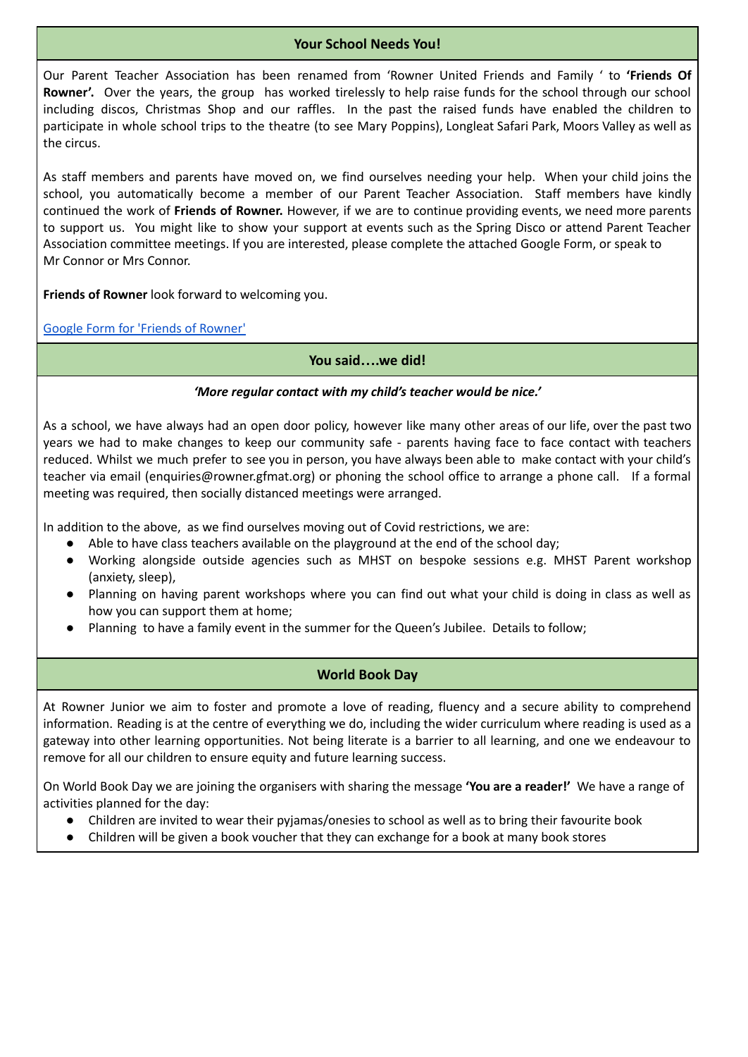# **Your School Needs You!**

Our Parent Teacher Association has been renamed from 'Rowner United Friends and Family ' to **'Friends Of Rowner'.** Over the years, the group has worked tirelessly to help raise funds for the school through our school including discos, Christmas Shop and our raffles. In the past the raised funds have enabled the children to participate in whole school trips to the theatre (to see Mary Poppins), Longleat Safari Park, Moors Valley as well as the circus.

As staff members and parents have moved on, we find ourselves needing your help. When your child joins the school, you automatically become a member of our Parent Teacher Association. Staff members have kindly continued the work of **Friends of Rowner.** However, if we are to continue providing events, we need more parents to support us. You might like to show your support at events such as the Spring Disco or attend Parent Teacher Association committee meetings. If you are interested, please complete the attached Google Form, or speak to Mr Connor or Mrs Connor.

**Friends of Rowner** look forward to welcoming you.

Google Form for 'Friends of [Rowner'](https://docs.google.com/forms/d/1Vxp4PpioX_pxVkWwvLLxbNz0907s4Hg7kdAH5Y53u8s/edit)

### **You said….we did!**

### *'More regular contact with my child's teacher would be nice.'*

As a school, we have always had an open door policy, however like many other areas of our life, over the past two years we had to make changes to keep our community safe - parents having face to face contact with teachers reduced. Whilst we much prefer to see you in person, you have always been able to make contact with your child's teacher via email (enquiries@rowner.gfmat.org) or phoning the school office to arrange a phone call. If a formal meeting was required, then socially distanced meetings were arranged.

In addition to the above, as we find ourselves moving out of Covid restrictions, we are:

- Able to have class teachers available on the playground at the end of the school day;
- Working alongside outside agencies such as MHST on bespoke sessions e.g. MHST Parent workshop (anxiety, sleep),
- Planning on having parent workshops where you can find out what your child is doing in class as well as how you can support them at home;
- Planning to have a family event in the summer for the Queen's Jubilee. Details to follow;

# **World Book Day**

At Rowner Junior we aim to foster and promote a love of reading, fluency and a secure ability to comprehend information. Reading is at the centre of everything we do, including the wider curriculum where reading is used as a gateway into other learning opportunities. Not being literate is a barrier to all learning, and one we endeavour to remove for all our children to ensure equity and future learning success.

On World Book Day we are joining the organisers with sharing the message **'You are a reader!'** We have a range of activities planned for the day:

- Children are invited to wear their pyjamas/onesies to school as well as to bring their favourite book
- Children will be given a book voucher that they can exchange for a book at many book stores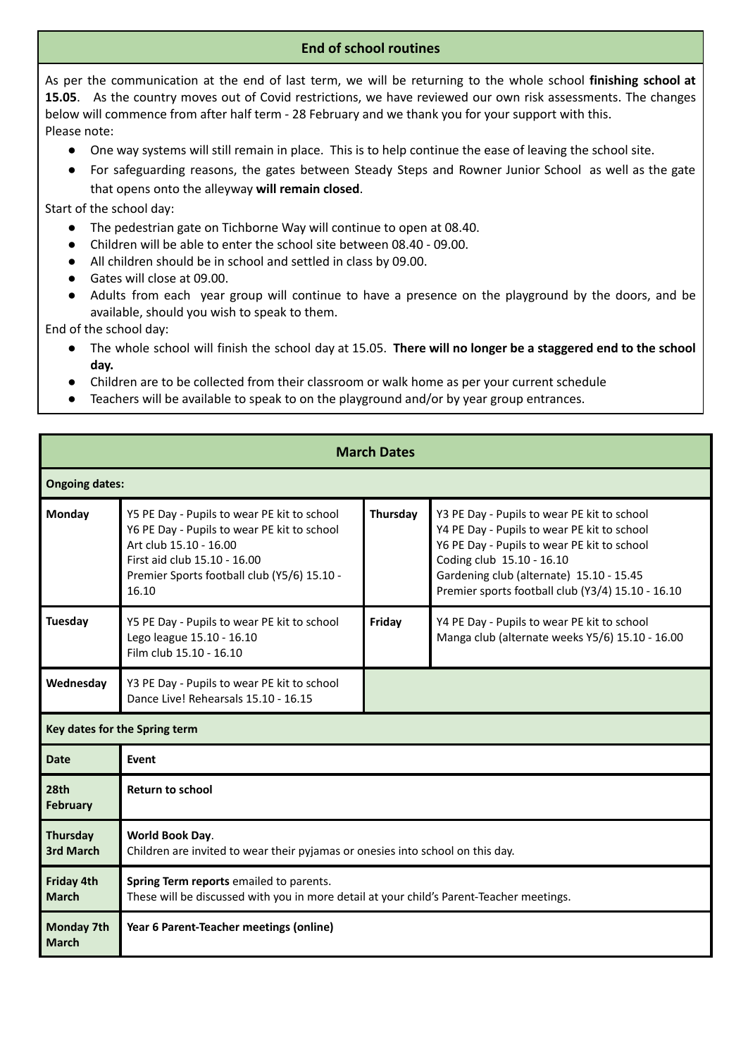# **End of school routines**

As per the communication at the end of last term, we will be returning to the whole school **finishing school at 15.05**. As the country moves out of Covid restrictions, we have reviewed our own risk assessments. The changes below will commence from after half term - 28 February and we thank you for your support with this. Please note:

- One way systems will still remain in place. This is to help continue the ease of leaving the school site.
- For safeguarding reasons, the gates between Steady Steps and Rowner Junior School as well as the gate that opens onto the alleyway **will remain closed**.

Start of the school day:

- The pedestrian gate on Tichborne Way will continue to open at 08.40.
- Children will be able to enter the school site between 08.40 09.00.
- All children should be in school and settled in class by 09.00.
- Gates will close at 09.00.
- Adults from each year group will continue to have a presence on the playground by the doors, and be available, should you wish to speak to them.

End of the school day:

- The whole school will finish the school day at 15.05. **There will no longer be a staggered end to the school day.**
- Children are to be collected from their classroom or walk home as per your current schedule
- Teachers will be available to speak to on the playground and/or by year group entrances.

| <b>March Dates</b>                |                                                                                                                                                                                                              |          |                                                                                                                                                                                                                                                                         |  |
|-----------------------------------|--------------------------------------------------------------------------------------------------------------------------------------------------------------------------------------------------------------|----------|-------------------------------------------------------------------------------------------------------------------------------------------------------------------------------------------------------------------------------------------------------------------------|--|
| <b>Ongoing dates:</b>             |                                                                                                                                                                                                              |          |                                                                                                                                                                                                                                                                         |  |
| Monday                            | Y5 PE Day - Pupils to wear PE kit to school<br>Y6 PE Day - Pupils to wear PE kit to school<br>Art club 15.10 - 16.00<br>First aid club 15.10 - 16.00<br>Premier Sports football club (Y5/6) 15.10 -<br>16.10 | Thursday | Y3 PE Day - Pupils to wear PE kit to school<br>Y4 PE Day - Pupils to wear PE kit to school<br>Y6 PE Day - Pupils to wear PE kit to school<br>Coding club 15.10 - 16.10<br>Gardening club (alternate) 15.10 - 15.45<br>Premier sports football club (Y3/4) 15.10 - 16.10 |  |
| <b>Tuesday</b>                    | Y5 PE Day - Pupils to wear PE kit to school<br>Lego league 15.10 - 16.10<br>Film club 15.10 - 16.10                                                                                                          | Friday   | Y4 PE Day - Pupils to wear PE kit to school<br>Manga club (alternate weeks Y5/6) 15.10 - 16.00                                                                                                                                                                          |  |
| Wednesday                         | Y3 PE Day - Pupils to wear PE kit to school<br>Dance Live! Rehearsals 15.10 - 16.15                                                                                                                          |          |                                                                                                                                                                                                                                                                         |  |
| Key dates for the Spring term     |                                                                                                                                                                                                              |          |                                                                                                                                                                                                                                                                         |  |
| <b>Date</b>                       | Event                                                                                                                                                                                                        |          |                                                                                                                                                                                                                                                                         |  |
| 28th<br>February                  | <b>Return to school</b>                                                                                                                                                                                      |          |                                                                                                                                                                                                                                                                         |  |
| Thursday<br>3rd March             | World Book Day.<br>Children are invited to wear their pyjamas or onesies into school on this day.                                                                                                            |          |                                                                                                                                                                                                                                                                         |  |
| Friday 4th<br><b>March</b>        | Spring Term reports emailed to parents.<br>These will be discussed with you in more detail at your child's Parent-Teacher meetings.                                                                          |          |                                                                                                                                                                                                                                                                         |  |
| <b>Monday 7th</b><br><b>March</b> | Year 6 Parent-Teacher meetings (online)                                                                                                                                                                      |          |                                                                                                                                                                                                                                                                         |  |